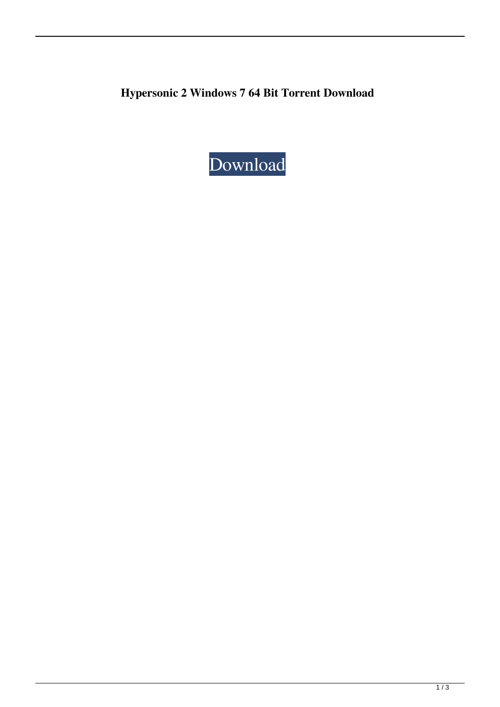**Hypersonic 2 Windows 7 64 Bit Torrent Download**

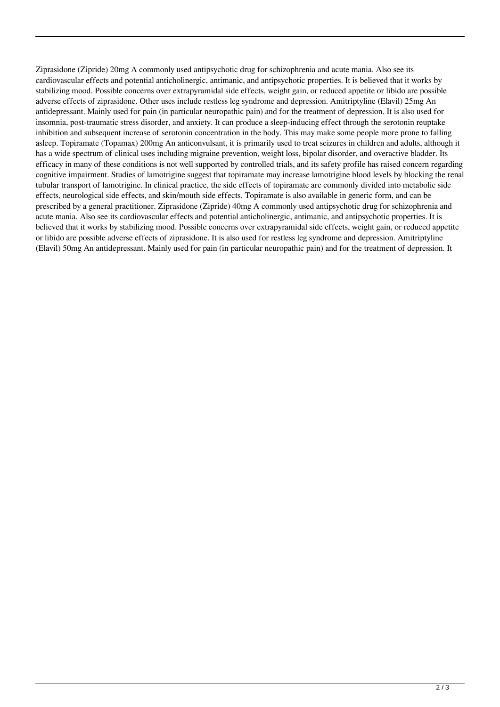Ziprasidone (Zipride) 20mg A commonly used antipsychotic drug for schizophrenia and acute mania. Also see its cardiovascular effects and potential anticholinergic, antimanic, and antipsychotic properties. It is believed that it works by stabilizing mood. Possible concerns over extrapyramidal side effects, weight gain, or reduced appetite or libido are possible adverse effects of ziprasidone. Other uses include restless leg syndrome and depression. Amitriptyline (Elavil) 25mg An antidepressant. Mainly used for pain (in particular neuropathic pain) and for the treatment of depression. It is also used for insomnia, post-traumatic stress disorder, and anxiety. It can produce a sleep-inducing effect through the serotonin reuptake inhibition and subsequent increase of serotonin concentration in the body. This may make some people more prone to falling asleep. Topiramate (Topamax) 200mg An anticonvulsant, it is primarily used to treat seizures in children and adults, although it has a wide spectrum of clinical uses including migraine prevention, weight loss, bipolar disorder, and overactive bladder. Its efficacy in many of these conditions is not well supported by controlled trials, and its safety profile has raised concern regarding cognitive impairment. Studies of lamotrigine suggest that topiramate may increase lamotrigine blood levels by blocking the renal tubular transport of lamotrigine. In clinical practice, the side effects of topiramate are commonly divided into metabolic side effects, neurological side effects, and skin/mouth side effects. Topiramate is also available in generic form, and can be prescribed by a general practitioner. Ziprasidone (Zipride) 40mg A commonly used antipsychotic drug for schizophrenia and acute mania. Also see its cardiovascular effects and potential anticholinergic, antimanic, and antipsychotic properties. It is believed that it works by stabilizing mood. Possible concerns over extrapyramidal side effects, weight gain, or reduced appetite or libido are possible adverse effects of ziprasidone. It is also used for restless leg syndrome and depression. Amitriptyline (Elavil) 50mg An antidepressant. Mainly used for pain (in particular neuropathic pain) and for the treatment of depression. It